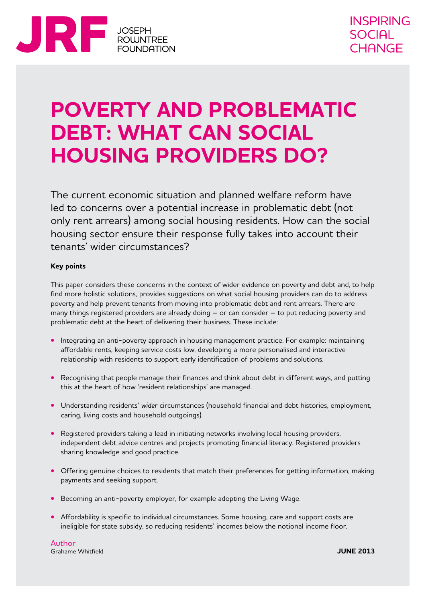

## **POVERTY AND PROBLEMATIC DEBT: WHAT CAN SOCIAL HOUSING PROVIDERS DO?**

The current economic situation and planned welfare reform have led to concerns over a potential increase in problematic debt (not only rent arrears) among social housing residents. How can the social housing sector ensure their response fully takes into account their tenants' wider circumstances?

#### **Key points**

This paper considers these concerns in the context of wider evidence on poverty and debt and, to help find more holistic solutions, provides suggestions on what social housing providers can do to address poverty and help prevent tenants from moving into problematic debt and rent arrears. There are many things registered providers are already doing – or can consider – to put reducing poverty and problematic debt at the heart of delivering their business. These include:

- **•** Integrating an anti-poverty approach in housing management practice. For example: maintaining affordable rents, keeping service costs low, developing a more personalised and interactive relationship with residents to support early identification of problems and solutions.
- Recognising that people manage their finances and think about debt in different ways, and putting this at the heart of how 'resident relationships' are managed.
- **•**  Understanding residents' *wider* circumstances (household financial and debt histories, employment, caring, living costs and household outgoings).
- Registered providers taking a lead in initiating networks involving local housing providers, independent debt advice centres and projects promoting financial literacy. Registered providers sharing knowledge and good practice.
- Offering genuine choices to residents that match their preferences for getting information, making payments and seeking support.
- **•** Becoming an anti-poverty employer, for example adopting the Living Wage.
- Affordability is specific to individual circumstances. Some housing, care and support costs are ineligible for state subsidy, so reducing residents' incomes below the notional income floor.

Author Grahame Whitfield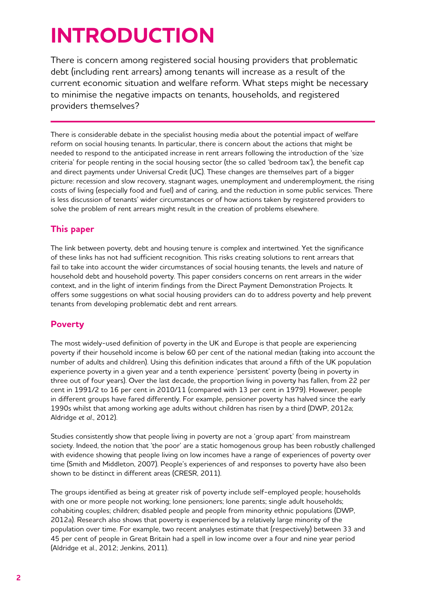# **Introduction**

There is concern among registered social housing providers that problematic debt (including rent arrears) among tenants will increase as a result of the current economic situation and welfare reform. What steps might be necessary to minimise the negative impacts on tenants, households, and registered providers themselves?

There is considerable debate in the specialist housing media about the potential impact of welfare reform on social housing tenants. In particular, there is concern about the actions that might be needed to respond to the anticipated increase in rent arrears following the introduction of the 'size criteria' for people renting in the social housing sector (the so called 'bedroom tax'), the benefit cap and direct payments under Universal Credit (UC). These changes are themselves part of a bigger picture: recession and slow recovery, stagnant wages, unemployment and underemployment, the rising costs of living (especially food and fuel) and of caring, and the reduction in some public services. There is less discussion of tenants' wider circumstances or of how actions taken by registered providers to solve the problem of rent arrears might result in the creation of problems elsewhere.

#### **This paper**

The link between poverty, debt and housing tenure is complex and intertwined. Yet the significance of these links has not had sufficient recognition. This risks creating solutions to rent arrears that fail to take into account the wider circumstances of social housing tenants, the levels and nature of household debt and household poverty. This paper considers concerns on rent arrears in the wider context, and in the light of interim findings from the Direct Payment Demonstration Projects. It offers some suggestions on what social housing providers can do to address poverty and help prevent tenants from developing problematic debt and rent arrears.

#### **Poverty**

The most widely-used definition of poverty in the UK and Europe is that people are experiencing poverty if their household income is below 60 per cent of the national median (taking into account the number of adults and children). Using this definition indicates that around a fifth of the UK population experience poverty in a given year and a tenth experience 'persistent' poverty (being in poverty in three out of four years). Over the last decade, the proportion living in poverty has fallen, from 22 per cent in 1991/2 to 16 per cent in 2010/11 (compared with 13 per cent in 1979). However, people in different groups have fared differently. For example, pensioner poverty has halved since the early 1990s whilst that among working age adults without children has risen by a third (DWP, 2012a; Aldridge *et al*., 2012).

Studies consistently show that people living in poverty are not a 'group apart' from mainstream society. Indeed, the notion that 'the poor' are a static homogenous group has been robustly challenged with evidence showing that people living on low incomes have a range of experiences of poverty over time (Smith and Middleton, 2007). People's experiences of and responses to poverty have also been shown to be distinct in different areas (CRESR, 2011).

The groups identified as being at greater risk of poverty include self-employed people; households with one or more people not working; lone pensioners; lone parents; single adult households; cohabiting couples; children; disabled people and people from minority ethnic populations (DWP, 2012a). Research also shows that poverty is experienced by a relatively large minority of the population over time. For example, two recent analyses estimate that (respectively) between 33 and 45 per cent of people in Great Britain had a spell in low income over a four and nine year period (Aldridge et al., 2012; Jenkins, 2011).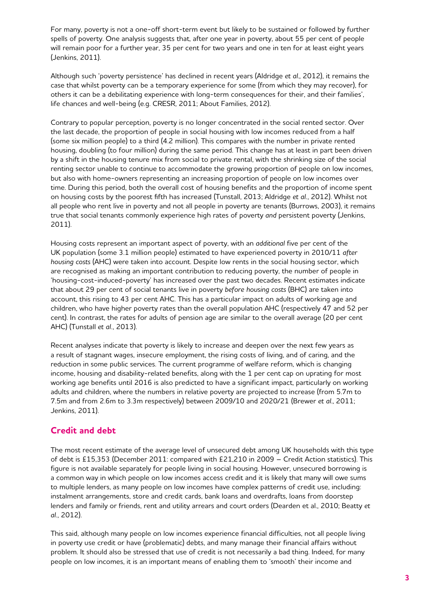For many, poverty is not a one-off short-term event but likely to be sustained or followed by further spells of poverty. One analysis suggests that, after one year in poverty, about 55 per cent of people will remain poor for a further year, 35 per cent for two years and one in ten for at least eight years (Jenkins, 2011).

Although such 'poverty persistence' has declined in recent years (Aldridge *et al*., 2012), it remains the case that whilst poverty can be a temporary experience for some (from which they may recover), for others it can be a debilitating experience with long-term consequences for their, and their families', life chances and well-being (e.g. CRESR, 2011; About Families, 2012).

Contrary to popular perception, poverty is no longer concentrated in the social rented sector. Over the last decade, the proportion of people in social housing with low incomes reduced from a half (some six million people) to a third (4.2 million). This compares with the number in private rented housing, doubling (to four million) during the same period. This change has at least in part been driven by a shift in the housing tenure mix from social to private rental, with the shrinking size of the social renting sector unable to continue to accommodate the growing proportion of people on low incomes, but also with home-owners representing an increasing proportion of people on low incomes over time. During this period, both the overall cost of housing benefits and the proportion of income spent on housing costs by the poorest fifth has increased (Tunstall, 2013; Aldridge *et al.*, 2012). Whilst not all people who rent live in poverty and not all people in poverty are tenants (Burrows, 2003), it remains true that social tenants commonly experience high rates of poverty *and* persistent poverty (Jenkins, 2011).

Housing costs represent an important aspect of poverty, with an *additional* five per cent of the UK population (some 3.1 million people) estimated to have experienced poverty in 2010/11 *after housing costs* (AHC) were taken into account. Despite low rents in the social housing sector, which are recognised as making an important contribution to reducing poverty, the number of people in 'housing-cost-induced-poverty' has increased over the past two decades. Recent estimates indicate that about 29 per cent of social tenants live in poverty *before housing costs* (BHC) are taken into account, this rising to 43 per cent AHC. This has a particular impact on adults of working age and children, who have higher poverty rates than the overall population AHC (respectively 47 and 52 per cent). In contrast, the rates for adults of pension age are similar to the overall average (20 per cent AHC) (Tunstall *et al.*, 2013).

Recent analyses indicate that poverty is likely to increase and deepen over the next few years as a result of stagnant wages, insecure employment, the rising costs of living, and of caring, and the reduction in some public services. The current programme of welfare reform, which is changing income, housing and disability-related benefits, along with the 1 per cent cap on uprating for most working age benefits until 2016 is also predicted to have a significant impact, particularly on working adults and children, where the numbers in relative poverty are projected to increase (from 5.7m to 7.5m and from 2.6m to 3.3m respectively) between 2009/10 and 2020/21 (Brewer *et al*., 2011; Jenkins, 2011).

#### **Credit and debt**

The most recent estimate of the average level of unsecured debt among UK households with this type of debt is £15,353 (December 2011: compared with £21,210 in 2009 – Credit Action statistics). This figure is not available separately for people living in social housing. However, unsecured borrowing is a common way in which people on low incomes access credit and it is likely that many will owe sums to multiple lenders, as many people on low incomes have complex patterns of credit use, including: instalment arrangements, store and credit cards, bank loans and overdrafts, loans from doorstep lenders and family or friends, rent and utility arrears and court orders (Dearden et al., 2010; Beatty *et al.*, 2012).

This said, although many people on low incomes experience financial difficulties, not all people living in poverty use credit or have (problematic) debts, and many manage their financial affairs without problem. It should also be stressed that use of credit is not necessarily a bad thing. Indeed, for many people on low incomes, it is an important means of enabling them to 'smooth' their income and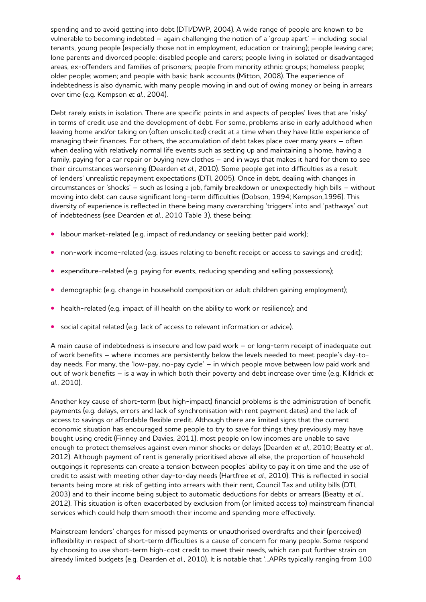spending and to avoid getting into debt (DTI/DWP, 2004). A wide range of people are known to be vulnerable to becoming indebted – again challenging the notion of a 'group apart' – including: social tenants, young people (especially those not in employment, education or training); people leaving care; lone parents and divorced people; disabled people and carers; people living in isolated or disadvantaged areas, ex-offenders and families of prisoners; people from minority ethnic groups; homeless people; older people; women; and people with basic bank accounts (Mitton, 2008). The experience of indebtedness is also dynamic, with many people moving in and out of owing money or being in arrears over time (e.g. Kempson *et al.*, 2004).

Debt rarely exists in isolation. There are specific points in and aspects of peoples' lives that are 'risky' in terms of credit use and the development of debt. For some, problems arise in early adulthood when leaving home and/or taking on (often unsolicited) credit at a time when they have little experience of managing their finances. For others, the accumulation of debt takes place over many years – often when dealing with relatively normal life events such as setting up and maintaining a home, having a family, paying for a car repair or buying new clothes – and in ways that makes it hard for them to see their circumstances worsening (Dearden *et al.*, 2010). Some people get into difficulties as a result of lenders' unrealistic repayment expectations (DTI, 2005). Once in debt, dealing with changes in circumstances or 'shocks' – such as losing a job, family breakdown or unexpectedly high bills – without moving into debt can cause significant long-term difficulties (Dobson, 1994; Kempson,1996). This diversity of experience is reflected in there being many overarching 'triggers' into and 'pathways' out of indebtedness (see Dearden *et al.*, 2010 Table 3), these being:

- labour market-related (e.g. impact of redundancy or seeking better paid work);
- non-work income-related (e.g. issues relating to benefit receipt or access to savings and credit);
- expenditure-related (e.g. paying for events, reducing spending and selling possessions);
- demographic (e.g. change in household composition or adult children gaining employment);
- health-related (e.g. impact of ill health on the ability to work or resilience); and
- social capital related (e.g. lack of access to relevant information or advice).

A main cause of indebtedness is insecure and low paid work – or long-term receipt of inadequate out of work benefits – where incomes are persistently below the levels needed to meet people's day-today needs. For many, the 'low-pay, no-pay cycle' – in which people move between low paid work and out of work benefits – is a way in which both their poverty and debt increase over time (e.g. Kildrick *et al.*, 2010).

Another key cause of short-term (but high-impact) financial problems is the administration of benefit payments (e.g. delays, errors and lack of synchronisation with rent payment dates) and the lack of access to savings or affordable flexible credit. Although there are limited signs that the current economic situation has encouraged some people to try to save for things they previously may have bought using credit (Finney and Davies, 2011), most people on low incomes are unable to save enough to protect themselves against even minor shocks or delays (Dearden *et al.*, 2010; Beatty *et al.*, 2012). Although payment of rent is generally prioritised above all else, the proportion of household outgoings it represents can create a tension between peoples' ability to pay it on time and the use of credit to assist with meeting other day-to-day needs (Hartfree *et al.*, 2010). This is reflected in social tenants being more at risk of getting into arrears with their rent, Council Tax and utility bills (DTI, 2003) and to their income being subject to automatic deductions for debts or arrears (Beatty *et al.*, 2012). This situation is often exacerbated by exclusion from (or limited access to) mainstream financial services which could help them smooth their income and spending more effectively.

Mainstream lenders' charges for missed payments or unauthorised overdrafts and their (perceived) inflexibility in respect of short-term difficulties is a cause of concern for many people. Some respond by choosing to use short-term high-cost credit to meet their needs, which can put further strain on already limited budgets (e.g. Dearden *et al.*, 2010). It is notable that '...APRs typically ranging from 100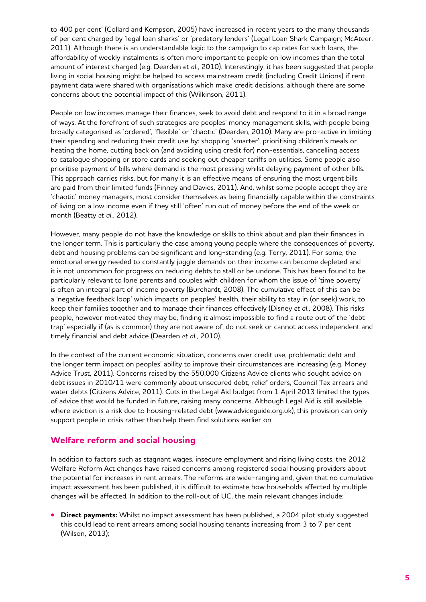to 400 per cent' (Collard and Kempson, 2005) have increased in recent years to the many thousands of per cent charged by 'legal loan sharks' or 'predatory lenders' (Legal Loan Shark Campaign; McAteer, 2011). Although there is an understandable logic to the campaign to cap rates for such loans, the affordability of weekly instalments is often more important to people on low incomes than the total amount of interest charged (e.g. Dearden *et al.*, 2010). Interestingly, it has been suggested that people living in social housing might be helped to access mainstream credit (including Credit Unions) if rent payment data were shared with organisations which make credit decisions, although there are some concerns about the potential impact of this (Wilkinson, 2011).

People on low incomes manage their finances, seek to avoid debt and respond to it in a broad range of ways. At the forefront of such strategies are peoples' money management skills, with people being broadly categorised as 'ordered', 'flexible' or 'chaotic' (Dearden, 2010). Many are pro-active in limiting their spending and reducing their credit use by: shopping 'smarter', prioritising children's meals or heating the home, cutting back on (and avoiding using credit for) non-essentials, cancelling access to catalogue shopping or store cards and seeking out cheaper tariffs on utilities. Some people also prioritise payment of bills where demand is the most pressing whilst delaying payment of other bills. This approach carries risks, but for many it is an effective means of ensuring the most urgent bills are paid from their limited funds (Finney and Davies, 2011). And, whilst some people accept they are 'chaotic' money managers, most consider themselves as being financially capable within the constraints of living on a low income even if they still 'often' run out of money before the end of the week or month (Beatty *et al.*, 2012).

However, many people do not have the knowledge or skills to think about and plan their finances in the longer term. This is particularly the case among young people where the consequences of poverty, debt and housing problems can be significant and long-standing (e.g. Terry, 2011). For some, the emotional energy needed to constantly juggle demands on their income can become depleted and it is not uncommon for progress on reducing debts to stall or be undone. This has been found to be particularly relevant to lone parents and couples with children for whom the issue of 'time poverty' is often an integral part of income poverty (Burchardt, 2008). The cumulative effect of this can be a 'negative feedback loop' which impacts on peoples' health, their ability to stay in (or seek) work, to keep their families together and to manage their finances effectively (Disney *et al.*, 2008). This risks people, however motivated they may be, finding it almost impossible to find a route out of the 'debt trap' especially if (as is common) they are not aware of, do not seek or cannot access independent and timely financial and debt advice (Dearden *et al.*, 2010).

In the context of the current economic situation, concerns over credit use, problematic debt and the longer term impact on peoples' ability to improve their circumstances are increasing (e.g. Money Advice Trust, 2011). Concerns raised by the 550,000 Citizens Advice clients who sought advice on debt issues in 2010/11 were commonly about unsecured debt, relief orders, Council Tax arrears and water debts (Citizens Advice, 2011). Cuts in the Legal Aid budget from 1 April 2013 limited the types of advice that would be funded in future, raising many concerns. Although Legal Aid is still available where eviction is a risk due to housing-related debt (www.adviceguide.org.uk), this provision can only support people in crisis rather than help them find solutions earlier on.

#### **Welfare reform and social housing**

In addition to factors such as stagnant wages, insecure employment and rising living costs, the 2012 Welfare Reform Act changes have raised concerns among registered social housing providers about the potential for increases in rent arrears. The reforms are wide-ranging and, given that no cumulative impact assessment has been published, it is difficult to estimate how households affected by multiple changes will be affected. In addition to the roll-out of UC, the main relevant changes include:

**• Direct payments:** Whilst no impact assessment has been published, a 2004 pilot study suggested this could lead to rent arrears among social housing tenants increasing from 3 to 7 per cent (Wilson, 2013);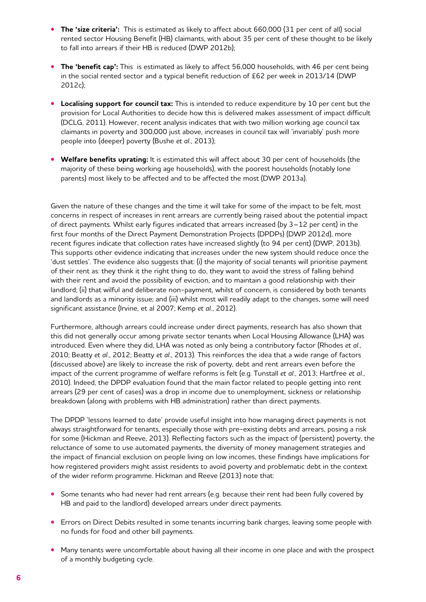- **The 'size criteria':** This is estimated as likely to affect about 660,000 (31 per cent of all) social rented sector Housing Benefit (HB) claimants, with about 35 per cent of these thought to be likely to fall into arrears if their HB is reduced (DWP 2012b);
- The 'benefit cap': This is estimated as likely to affect 56,000 households, with 46 per cent being in the social rented sector and a typical benefit reduction of £62 per week in 2013/14 (DWP 2012c);
- **• Localising support for council tax:** This is intended to reduce expenditure by 10 per cent but the provision for Local Authorities to decide how this is delivered makes assessment of impact difficult (DCLG, 2011). However, recent analysis indicates that with two million working age council tax claimants in poverty and 300,000 just above, increases in council tax will 'invariably' push more people into (deeper) poverty (Bushe *et al.*, 2013);
- **• Welfare benefits uprating:** It is estimated this will affect about 30 per cent of households (the majority of these being working age households), with the poorest households (notably lone parents) most likely to be affected and to be affected the most (DWP 2013a).

Given the nature of these changes and the time it will take for some of the impact to be felt, most concerns in respect of increases in rent arrears are currently being raised about the potential impact of direct payments. Whilst early figures indicated that arrears increased (by 3–12 per cent) in the first four months of the Direct Payment Demonstration Projects (DPDPs) (DWP 2012d), more recent figures indicate that collection rates have increased slightly (to 94 per cent) (DWP, 2013b). This supports other evidence indicating that increases under the new system should reduce once the 'dust settles'. The evidence also suggests that: (i) the majority of social tenants will prioritise payment of their rent as: they think it the right thing to do, they want to avoid the stress of falling behind with their rent and avoid the possibility of eviction, and to maintain a good relationship with their landlord; (ii) that wilful and deliberate non-payment, whilst of concern, is considered by both tenants and landlords as a minority issue; and (iii) whilst most will readily adapt to the changes, some will need significant assistance (Irvine, et al 2007; Kemp *et al.*, 2012).

Furthermore, although arrears could increase under direct payments, research has also shown that this did not generally occur among private sector tenants when Local Housing Allowance (LHA) was introduced. Even where they did, LHA was noted as only being a contributory factor (Rhodes *et al.*, 2010; Beatty *et al.*, 2012; Beatty *et al.*, 2013). This reinforces the idea that a wide range of factors (discussed above) are likely to increase the risk of poverty, debt and rent arrears even before the impact of the current programme of welfare reforms is felt (e.g. Tunstall *et al.*, 2013; Hartfree *et al.*, 2010). Indeed, the DPDP evaluation found that the main factor related to people getting into rent arrears (29 per cent of cases) was a drop in income due to unemployment, sickness or relationship breakdown (along with problems with HB administration) rather than direct payments.

The DPDP 'lessons learned to date' provide useful insight into how managing direct payments is not always straightforward for tenants, especially those with pre-existing debts and arrears, posing a risk for some (Hickman and Reeve, 2013). Reflecting factors such as the impact of (persistent) poverty, the reluctance of some to use automated payments, the diversity of money management strategies and the impact of financial exclusion on people living on low incomes, these findings have implications for how registered providers might assist residents to avoid poverty and problematic debt in the context of the wider reform programme. Hickman and Reeve (2013) note that:

- Some tenants who had never had rent arrears (e.g. because their rent had been fully covered by HB and paid to the landlord) developed arrears under direct payments.
- **•** Errors on Direct Debits resulted in some tenants incurring bank charges, leaving some people with no funds for food and other bill payments.
- **•** Many tenants were uncomfortable about having all their income in one place and with the prospect of a monthly budgeting cycle.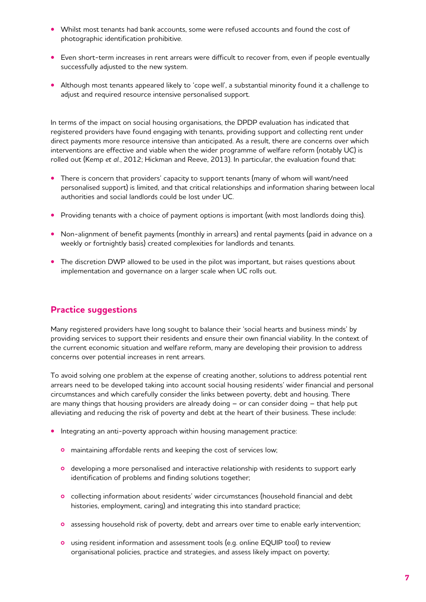- Whilst most tenants had bank accounts, some were refused accounts and found the cost of photographic identification prohibitive.
- Even short-term increases in rent arrears were difficult to recover from, even if people eventually successfully adjusted to the new system.
- **•**  Although most tenants appeared likely to 'cope well', a substantial minority found it a challenge to adjust and required resource intensive personalised support.

In terms of the impact on social housing organisations, the DPDP evaluation has indicated that registered providers have found engaging with tenants, providing support and collecting rent under direct payments more resource intensive than anticipated. As a result, there are concerns over which interventions are effective and viable when the wider programme of welfare reform (notably UC) is rolled out (Kemp *et al.*, 2012; Hickman and Reeve, 2013). In particular, the evaluation found that:

- There is concern that providers' capacity to support tenants (many of whom will want/need personalised support) is limited, and that critical relationships and information sharing between local authorities and social landlords could be lost under UC.
- Providing tenants with a choice of payment options is important (with most landlords doing this).
- Non-alignment of benefit payments (monthly in arrears) and rental payments (paid in advance on a weekly or fortnightly basis) created complexities for landlords and tenants.
- The discretion DWP allowed to be used in the pilot was important, but raises questions about implementation and governance on a larger scale when UC rolls out.

#### **Practice suggestions**

Many registered providers have long sought to balance their 'social hearts and business minds' by providing services to support their residents and ensure their own financial viability. In the context of the current economic situation and welfare reform, many are developing their provision to address concerns over potential increases in rent arrears.

To avoid solving one problem at the expense of creating another, solutions to address potential rent arrears need to be developed taking into account social housing residents' wider financial and personal circumstances and which carefully consider the links between poverty, debt and housing. There are many things that housing providers are already doing – or can consider doing – that help put alleviating and reducing the risk of poverty and debt at the heart of their business. These include:

- **•** Integrating an anti-poverty approach within housing management practice:
	- maintaining affordable rents and keeping the cost of services low;
	- developing a more personalised and interactive relationship with residents to support early identification of problems and finding solutions together;
	- collecting information about residents' wider circumstances (household financial and debt histories, employment, caring) and integrating this into standard practice;
	- **o** assessing household risk of poverty, debt and arrears over time to enable early intervention;
	- using resident information and assessment tools (e.g. online EQUIP tool) to review organisational policies, practice and strategies, and assess likely impact on poverty;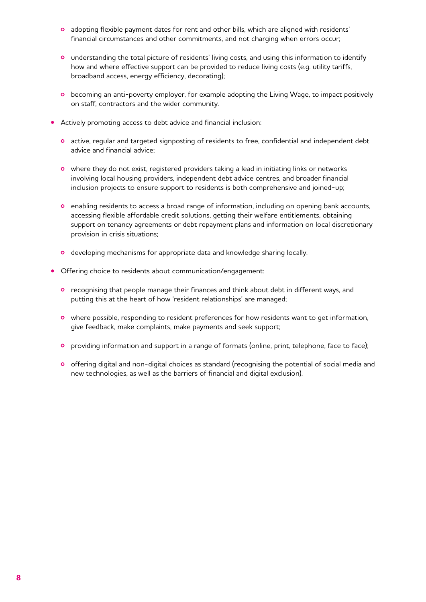- adopting flexible payment dates for rent and other bills, which are aligned with residents' financial circumstances and other commitments, and not charging when errors occur;
- understanding the total picture of residents' living costs, and using this information to identify how and where effective support can be provided to reduce living costs (e.g. utility tariffs, broadband access, energy efficiency, decorating);
- becoming an anti-poverty employer, for example adopting the Living Wage, to impact positively on staff, contractors and the wider community.
- **•** Actively promoting access to debt advice and financial inclusion:
	- active, regular and targeted signposting of residents to free, confidential and independent debt advice and financial advice;
	- o where they do not exist, registered providers taking a lead in initiating links or networks involving local housing providers, independent debt advice centres, and broader financial inclusion projects to ensure support to residents is both comprehensive and joined-up;
	- enabling residents to access a broad range of information, including on opening bank accounts, accessing flexible affordable credit solutions, getting their welfare entitlements, obtaining support on tenancy agreements or debt repayment plans and information on local discretionary provision in crisis situations;
	- o developing mechanisms for appropriate data and knowledge sharing locally.
- **•** Offering choice to residents about communication/engagement:
	- **o** recognising that people manage their finances and think about debt in different ways, and putting this at the heart of how 'resident relationships' are managed;
	- o where possible, responding to resident preferences for how residents want to get information, give feedback, make complaints, make payments and seek support;
	- providing information and support in a range of formats (online, print, telephone, face to face);
	- o offering digital and non-digital choices as standard (recognising the potential of social media and new technologies, as well as the barriers of financial and digital exclusion).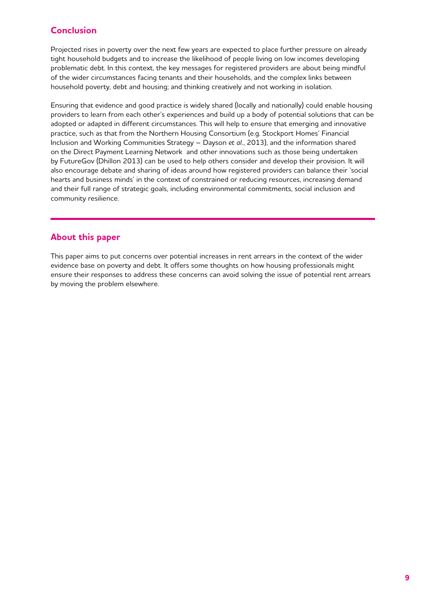### **Conclusion**

Projected rises in poverty over the next few years are expected to place further pressure on already tight household budgets and to increase the likelihood of people living on low incomes developing problematic debt. In this context, the key messages for registered providers are about being mindful of the wider circumstances facing tenants and their households, and the complex links between household poverty, debt and housing; and thinking creatively and not working in isolation.

Ensuring that evidence and good practice is widely shared (locally and nationally) could enable housing providers to learn from each other's experiences and build up a body of potential solutions that can be adopted or adapted in different circumstances. This will help to ensure that emerging and innovative practice, such as that from the Northern Housing Consortium (e.g. Stockport Homes' Financial Inclusion and Working Communities Strategy – Dayson *et al.*, 2013), and the information shared on the Direct Payment Learning Network and other innovations such as those being undertaken by FutureGov (Dhillon 2013) can be used to help others consider and develop their provision. It will also encourage debate and sharing of ideas around how registered providers can balance their 'social hearts and business minds' in the context of constrained or reducing resources, increasing demand and their full range of strategic goals, including environmental commitments, social inclusion and community resilience.

#### **About this paper**

This paper aims to put concerns over potential increases in rent arrears in the context of the wider evidence base on poverty and debt. It offers some thoughts on how housing professionals might ensure their responses to address these concerns can avoid solving the issue of potential rent arrears by moving the problem elsewhere.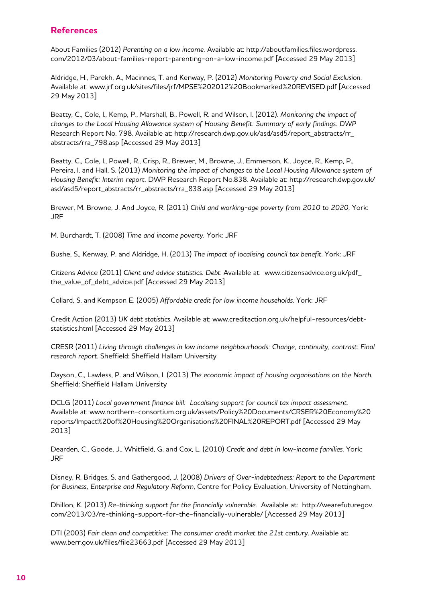#### **References**

About Families (2012) *Parenting on a low income.* Available at: http://aboutfamilies.files.wordpress. com/2012/03/about-families-report-parenting-on-a-low-income.pdf [Accessed 29 May 2013]

Aldridge, H., Parekh, A., Macinnes, T. and Kenway, P. (2012) *Monitoring Poverty and Social Exclusion*. Available at: www.jrf.org.uk/sites/files/jrf/MPSE%202012%20Bookmarked%20REVISED.pdf [Accessed 29 May 2013]

Beatty, C., Cole, I., Kemp, P., Marshall, B., Powell, R. and Wilson, I. (2012). *Monitoring the impact of changes to the Local Housing Allowance system of Housing Benefit: Summary of early findings. DWP*  Research Report No. 798. Available at: http://research.dwp.gov.uk/asd/asd5/report\_abstracts/rr\_ abstracts/rra 798.asp [Accessed 29 May 2013]

Beatty, C., Cole, I., Powell, R., Crisp, R., Brewer, M., Browne, J., Emmerson, K., Joyce, R., Kemp, P., Pereira, I. and Hall, S. (2013) *Monitoring the impact of changes to the Local Housing Allowance system of Housing Benefit: Interim report.* DWP Research Report No.838. Available at: http://research.dwp.gov.uk/ asd/asd5/report\_abstracts/rr\_abstracts/rra\_838.asp [Accessed 29 May 2013]

Brewer, M. Browne, J. And Joyce, R. (2011) *Child and working-age poverty from 2010 to 2020*, York: JRF

M. Burchardt, T. (2008) *Time and income poverty.* York: JRF

Bushe, S., Kenway, P. and Aldridge, H. (2013) *The impact of localising council tax benefit*. York: JRF

Citizens Advice (2011) *Client and advice statistics: Debt*. Available at: www.citizensadvice.org.uk/pdf\_ the\_value\_of\_debt\_advice.pdf [Accessed 29 May 2013]

Collard, S. and Kempson E. (2005) *Affordable credit for low income households*. York: JRF

Credit Action (2013) *UK debt statistics*. Available at: www.creditaction.org.uk/helpful-resources/debtstatistics.html [Accessed 29 May 2013]

CRESR (2011) *Living through challenges in low income neighbourhoods: Change, continuity, contrast: Final research report*. Sheffield: Sheffield Hallam University

Dayson, C., Lawless, P. and Wilson, I. (2013) *The economic impact of housing organisations on the North*. Sheffield: Sheffield Hallam University

DCLG (2011) *Local government finance bill: Localising support for council tax impact assessment*. Available at: www.northern-consortium.org.uk/assets/Policy%20Documents/CRSER%20Economy%20 reports/Impact%20of%20Housing%20Organisations%20FINAL%20REPORT.pdf [Accessed 29 May 2013]

Dearden, C., Goode, J., Whitfield, G. and Cox, L. (2010) *Credit and debt in low-income families*. York: JRF

Disney, R. Bridges, S. and Gathergood, J. (2008) *Drivers of Over-indebtedness: Report to the Department for Business, Enterprise and Regulatory Reform*, Centre for Policy Evaluation, University of Nottingham.

Dhillon, K. (2013) *Re-thinking support for the financially vulnerable*. Available at: http://wearefuturegov. com/2013/03/re-thinking-support-for-the-financially-vulnerable/ [Accessed 29 May 2013]

DTI (2003) *Fair clean and competitive: The consumer credit market the 21st century*. Available at: www.berr.gov.uk/files/file23663.pdf [Accessed 29 May 2013]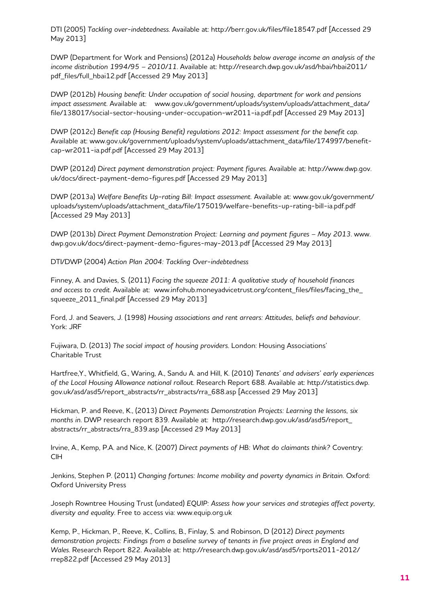DTI (2005) *Tackling over-indebtedness*. Available at: http://berr.gov.uk/files/file18547.pdf [Accessed 29 May 2013]

DWP (Department for Work and Pensions) (2012a) *Households below average income an analysis of the income distribution 1994/95 – 2010/11*. Available at: http://research.dwp.gov.uk/asd/hbai/hbai2011/ pdf\_files/full\_hbai12.pdf [Accessed 29 May 2013]

DWP (2012b) *Housing benefit: Under occupation of social housing, department for work and pensions impact assessment*. Available at: www.gov.uk/government/uploads/system/uploads/attachment\_data/ file/138017/social-sector-housing-under-occupation-wr2011-ia.pdf.pdf [Accessed 29 May 2013]

DWP (2012c) *Benefit cap (Housing Benefit) regulations 2012: Impact assessment for the benefit cap.*  Available at: www.gov.uk/government/uploads/system/uploads/attachment\_data/file/174997/benefitcap-wr2011-ia.pdf.pdf [Accessed 29 May 2013]

DWP (2012d) *Direct payment demonstration project: Payment figures*. Available at: http://www.dwp.gov. uk/docs/direct-payment-demo-figures.pdf [Accessed 29 May 2013]

DWP (2013a) *Welfare Benefits Up-rating Bill: Impact assessment.* Available at: www.gov.uk/government/ uploads/system/uploads/attachment\_data/file/175019/welfare-benefits-up-rating-bill-ia.pdf.pdf [Accessed 29 May 2013]

DWP (2013b) *Direct Payment Demonstration Project: Learning and payment figures – May 2013*. www. dwp.gov.uk/docs/direct-payment-demo-figures-may-2013.pdf [Accessed 29 May 2013]

DTI/DWP (2004) *Action Plan 2004: Tackling Over-indebtedness*

Finney, A. and Davies, S. (2011) *Facing the squeeze 2011: A qualitative study of household finances and access to credit*. Available at: www.infohub.moneyadvicetrust.org/content\_files/files/facing\_the\_ squeeze 2011 final.pdf [Accessed 29 May 2013]

Ford, J. and Seavers, J. (1998) *Housing associations and rent arrears: Attitudes, beliefs and behaviour*. York: JRF

Fujiwara, D. (2013) *The social impact of housing providers*. London: Housing Associations' Charitable Trust

Hartfree,Y., Whitfield, G., Waring, A., Sandu A. and Hill, K. (2010) *Tenants' and advisers' early experiences of the Local Housing Allowance national rollout*. Research Report 688. Available at: http://statistics.dwp. gov.uk/asd/asd5/report\_abstracts/rr\_abstracts/rra\_688.asp [Accessed 29 May 2013]

Hickman, P. and Reeve, K., (2013) *Direct Payments Demonstration Projects: Learning the lessons, six months in*. DWP research report 839. Available at: http://research.dwp.gov.uk/asd/asd5/report\_ abstracts/rr\_abstracts/rra\_839.asp [Accessed 29 May 2013]

Irvine, A., Kemp, P.A. and Nice, K. (2007) *Direct payments of HB: What do claimants think?* Coventry: CIH

Jenkins, Stephen P. (2011) *Changing fortunes: Income mobility and poverty dynamics in Britain*. Oxford: Oxford University Press

Joseph Rowntree Housing Trust (undated) *EQUIP: Assess how your services and strategies affect poverty, diversity and equality*. Free to access via: www.equip.org.uk

Kemp, P., Hickman, P., Reeve, K., Collins, B., Finlay, S. and Robinson, D (2012) *Direct payments demonstration projects: Findings from a baseline survey of tenants in five project areas in England and Wales*. Research Report 822. Available at: http://research.dwp.gov.uk/asd/asd5/rports2011-2012/ rrep822.pdf [Accessed 29 May 2013]